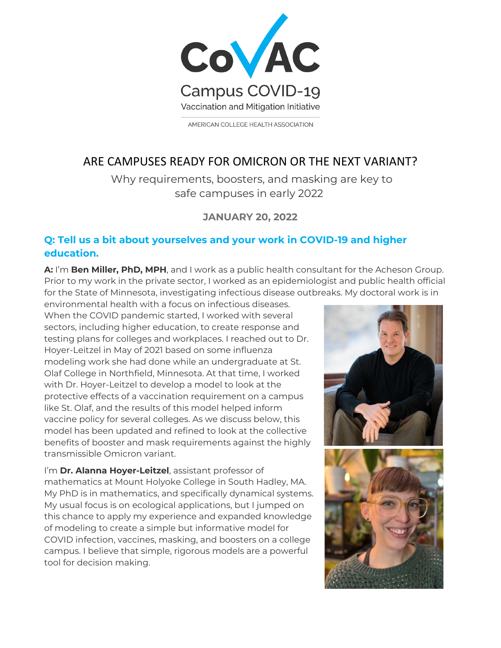

AMERICAN COLLEGE HEALTH ASSOCIATION

# ARE CAMPUSES READY FOR OMICRON OR THE NEXT VARIANT?

Why requirements, boosters, and masking are key to safe campuses in early 2022

# **JANUARY 20, 2022**

### **Q: Tell us a bit about yourselves and your work in COVID-19 and higher education.**

**A:** I'm **Ben Miller, PhD, MPH**, and I work as a public health consultant for the Acheson Group. Prior to my work in the private sector, I worked as an epidemiologist and public health official for the State of Minnesota, investigating infectious disease outbreaks. My doctoral work is in

environmental health with a focus on infectious diseases. When the COVID pandemic started, I worked with several sectors, including higher education, to create response and testing plans for colleges and workplaces. I reached out to Dr. Hoyer-Leitzel in May of 2021 based on some influenza modeling work she had done while an undergraduate at St. Olaf College in Northfield, Minnesota. At that time, I worked with Dr. Hoyer-Leitzel to develop a model to look at the protective effects of a vaccination requirement on a campus like St. Olaf, and the results of this model helped inform vaccine policy for several colleges. As we discuss below, this model has been updated and refined to look at the collective benefits of booster and mask requirements against the highly transmissible Omicron variant.

I'm **Dr. Alanna Hoyer-Leitzel**, assistant professor of mathematics at Mount Holyoke College in South Hadley, MA. My PhD is in mathematics, and specifically dynamical systems. My usual focus is on ecological applications, but I jumped on this chance to apply my experience and expanded knowledge of modeling to create a simple but informative model for COVID infection, vaccines, masking, and boosters on a college campus. I believe that simple, rigorous models are a powerful tool for decision making.

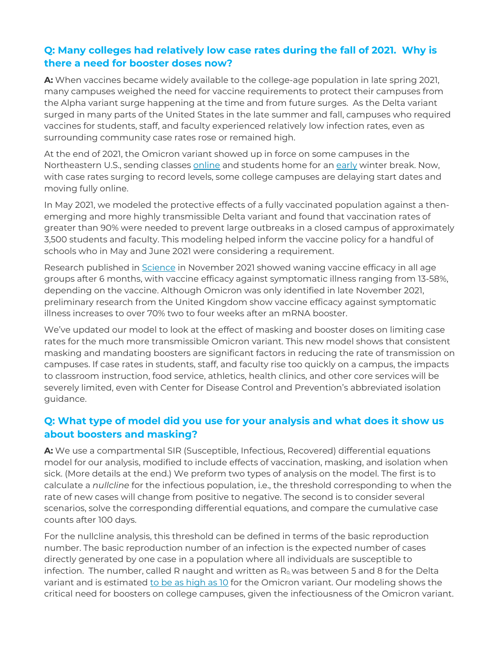# **Q: Many colleges had relatively low case rates during the fall of 2021. Why is there a need for booster doses now?**

**A:** When vaccines became widely available to the college-age population in late spring 2021, many campuses weighed the need for vaccine requirements to protect their campuses from the Alpha variant surge happening at the time and from future surges. As the Delta variant surged in many parts of the United States in the late summer and fall, campuses who required vaccines for students, staff, and faculty experienced relatively low infection rates, even as surrounding community case rates rose or remained high.

At the end of 2021, the Omicron variant showed up in force on some campuses in the Northeastern U.S., sending classes [online](https://www.insidehighered.com/quicktakes/2021/12/20/oberlin-will-finish-fall-semester-online-january) and students home for an [early](https://cornellsun.com/2021/12/17/how-the-omicron-variant-and-the-end-of-the-semester-created-perfect-storm-for-cornells-covid-outbreak/) winter break. Now, with case rates surging to record levels, some college campuses are delaying start dates and moving fully online.

In May 2021, we modeled the protective effects of a fully vaccinated population against a thenemerging and more highly transmissible Delta variant and found that vaccination rates of greater than 90% were needed to prevent large outbreaks in a closed campus of approximately 3,500 students and faculty. This modeling helped inform the vaccine policy for a handful of schools who in May and June 2021 were considering a requirement.

Research published in [Science](https://www.science.org/doi/10.1126/science.abm0620) in November 2021 showed waning vaccine efficacy in all age groups after 6 months, with vaccine efficacy against symptomatic illness ranging from 13-58%, depending on the vaccine. Although Omicron was only identified in late November 2021, preliminary research from the United Kingdom show vaccine efficacy against symptomatic illness increases to over 70% two to four weeks after an mRNA booster.

We've updated our model to look at the effect of masking and booster doses on limiting case rates for the much more transmissible Omicron variant. This new model shows that consistent masking and mandating boosters are significant factors in reducing the rate of transmission on campuses. If case rates in students, staff, and faculty rise too quickly on a campus, the impacts to classroom instruction, food service, athletics, health clinics, and other core services will be severely limited, even with Center for Disease Control and Prevention's abbreviated isolation guidance.

# **Q: What type of model did you use for your analysis and what does it show us about boosters and masking?**

**A:** We use a compartmental SIR (Susceptible, Infectious, Recovered) differential equations model for our analysis, modified to include effects of vaccination, masking, and isolation when sick. (More details at the end.) We preform two types of analysis on the model. The first is to calculate a *nullcline* for the infectious population, i.e., the threshold corresponding to when the rate of new cases will change from positive to negative. The second is to consider several scenarios, solve the corresponding differential equations, and compare the cumulative case counts after 100 days.

For the nullcline analysis, this threshold can be defined in terms of the basic reproduction number. The basic reproduction number of an infection is the expected number of cases directly generated by one case in a population where all individuals are susceptible to infection. The number, called R naught and written as  $R_0$  was between 5 and 8 for the Delta variant and is estimated [to be as high as 10](https://www.thelancet.com/journals/lanres/article/PIIS2213-2600(21)00559-2/fulltext) for the Omicron variant. Our modeling shows the critical need for boosters on college campuses, given the infectiousness of the Omicron variant.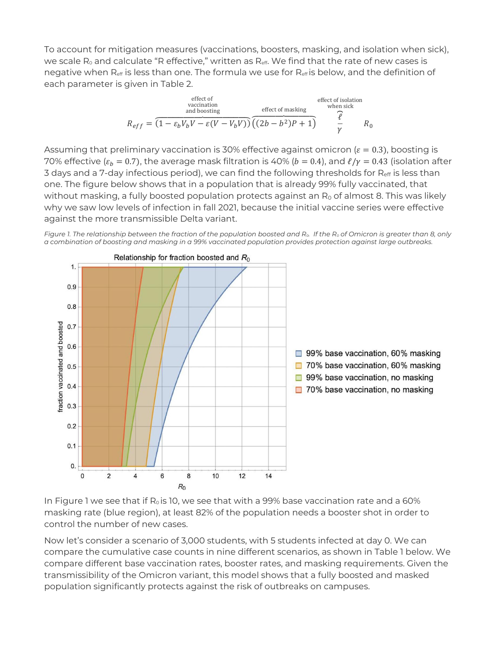To account for mitigation measures (vaccinations, boosters, masking, and isolation when sick), we scale  $R_0$  and calculate "R effective," written as  $R_{\text{eff}}$ . We find that the rate of new cases is negative when  $R_{\text{eff}}$  is less than one. The formula we use for  $R_{\text{eff}}$  is below, and the definition of each parameter is given in Table 2.

$$
R_{eff} = \overbrace{(1 - \varepsilon_b V_b V - \varepsilon (V - V_b V))}^{\text{effect ofvacination}} \overbrace{(2b - b^2)P + 1}^{\text{effect of masking}} \overbrace{V}^{\text{other sick}}
$$
  

$$
R_{eff} = \overbrace{(1 - \varepsilon_b V_b V - \varepsilon (V - V_b V))}^{\text{effect of insking}} \overbrace{(2b - b^2)P + 1}^{\text{effect of isolation}}
$$

Assuming that preliminary vaccination is 30% effective against omicron ( $\varepsilon = 0.3$ ), boosting is 70% effective ( $\varepsilon_b$  = 0.7), the average mask filtration is 40% ( $b$  = 0.4), and  $\ell/\gamma$  = 0.43 (isolation after 3 days and a 7-day infectious period), we can find the following thresholds for R<sub>eff</sub> is less than one. The figure below shows that in a population that is already 99% fully vaccinated, that without masking, a fully boosted population protects against an  $R_0$  of almost 8. This was likely why we saw low levels of infection in fall 2021, because the initial vaccine series were effective against the more transmissible Delta variant.

*Figure 1. The relationship between the fraction of the population boosted and R<sub>0</sub>. If the R<sub>0</sub> of Omicron is greater than 8, only a combination of boosting and masking in a 99% vaccinated population provides protection against large outbreaks.*



In Figure 1 we see that if  $R_0$  is 10, we see that with a 99% base vaccination rate and a 60% masking rate (blue region), at least 82% of the population needs a booster shot in order to control the number of new cases.

Now let's consider a scenario of 3,000 students, with 5 students infected at day 0. We can compare the cumulative case counts in nine different scenarios, as shown in Table 1 below. We compare different base vaccination rates, booster rates, and masking requirements. Given the transmissibility of the Omicron variant, this model shows that a fully boosted and masked population significantly protects against the risk of outbreaks on campuses.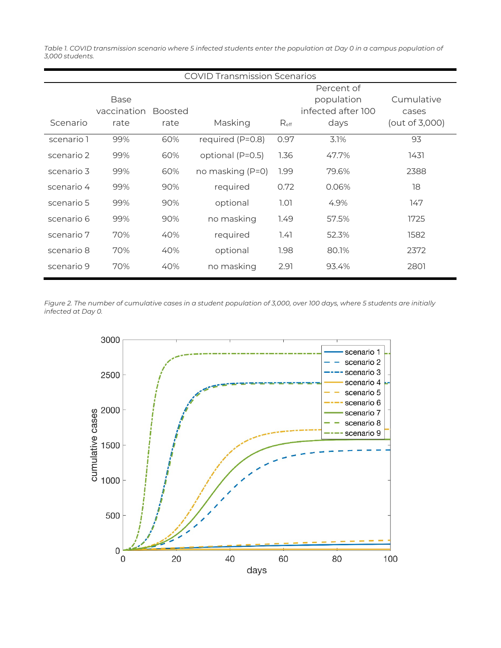*Table 1. COVID* transmission scenario where 5 infected students enter the population at Day 0 in a campus population of *3,000 students.*

| <b>COVID Transmission Scenarios</b> |                             |                        |                  |                  |                                                        |                                       |  |
|-------------------------------------|-----------------------------|------------------------|------------------|------------------|--------------------------------------------------------|---------------------------------------|--|
| Scenario                            | Base<br>vaccination<br>rate | <b>Boosted</b><br>rate | Masking          | $R_{\text{eff}}$ | Percent of<br>population<br>infected after 100<br>days | Cumulative<br>cases<br>(out of 3,000) |  |
| scenario 1                          | 99%                         | 60%                    | required (P=0.8) | 0.97             | 3.1%                                                   | 93                                    |  |
| scenario 2                          | 99%                         | 60%                    | optional (P=0.5) | 1.36             | 47.7%                                                  | 1431                                  |  |
| scenario 3                          | 99%                         | 60%                    | no masking (P=0) | 1.99             | 79.6%                                                  | 2388                                  |  |
| scenario 4                          | 99%                         | 90%                    | required         | 0.72             | 0.06%                                                  | 18                                    |  |
| scenario 5                          | 99%                         | 90%                    | optional         | 1.01             | 4.9%                                                   | 147                                   |  |
| scenario 6                          | 99%                         | 90%                    | no masking       | 1.49             | 57.5%                                                  | 1725                                  |  |
| scenario 7                          | 70%                         | 40%                    | required         | 1.41             | 52.3%                                                  | 1582                                  |  |
| scenario 8                          | 70%                         | 40%                    | optional         | 1.98             | 80.1%                                                  | 2372                                  |  |
| scenario 9                          | 70%                         | 40%                    | no masking       | 2.91             | 93.4%                                                  | 2801                                  |  |

*Figure 2. The number of cumulative cases in a student population of 3,000, over 100 days, where 5 students are initially infected at Day 0.*

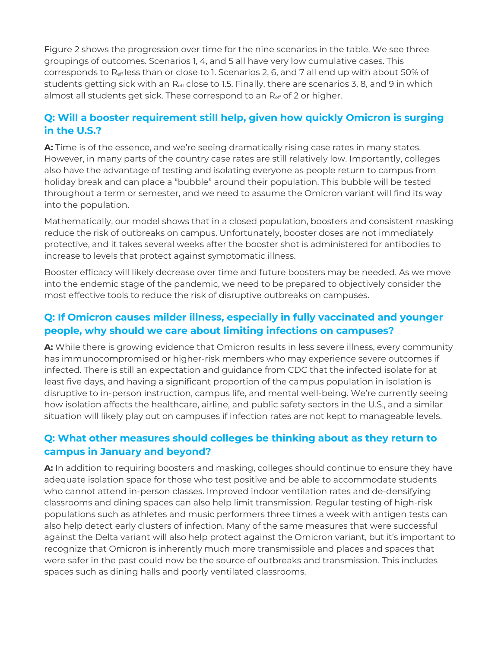Figure 2 shows the progression over time for the nine scenarios in the table. We see three groupings of outcomes. Scenarios 1, 4, and 5 all have very low cumulative cases. This corresponds to Reff less than or close to 1. Scenarios 2, 6, and 7 all end up with about 50% of students getting sick with an R<sub>eff</sub> close to 1.5. Finally, there are scenarios 3, 8, and 9 in which almost all students get sick. These correspond to an  $R_{\text{eff}}$  of 2 or higher.

# **Q: Will a booster requirement still help, given how quickly Omicron is surging in the U.S.?**

**A:** Time is of the essence, and we're seeing dramatically rising case rates in many states. However, in many parts of the country case rates are still relatively low. Importantly, colleges also have the advantage of testing and isolating everyone as people return to campus from holiday break and can place a "bubble" around their population. This bubble will be tested throughout a term or semester, and we need to assume the Omicron variant will find its way into the population.

Mathematically, our model shows that in a closed population, boosters and consistent masking reduce the risk of outbreaks on campus. Unfortunately, booster doses are not immediately protective, and it takes several weeks after the booster shot is administered for antibodies to increase to levels that protect against symptomatic illness.

Booster efficacy will likely decrease over time and future boosters may be needed. As we move into the endemic stage of the pandemic, we need to be prepared to objectively consider the most effective tools to reduce the risk of disruptive outbreaks on campuses.

### **Q: If Omicron causes milder illness, especially in fully vaccinated and younger people, why should we care about limiting infections on campuses?**

**A:** While there is growing evidence that Omicron results in less severe illness, every community has immunocompromised or higher-risk members who may experience severe outcomes if infected. There is still an expectation and guidance from CDC that the infected isolate for at least five days, and having a significant proportion of the campus population in isolation is disruptive to in-person instruction, campus life, and mental well-being. We're currently seeing how isolation affects the healthcare, airline, and public safety sectors in the U.S., and a similar situation will likely play out on campuses if infection rates are not kept to manageable levels.

### **Q: What other measures should colleges be thinking about as they return to campus in January and beyond?**

**A:** In addition to requiring boosters and masking, colleges should continue to ensure they have adequate isolation space for those who test positive and be able to accommodate students who cannot attend in-person classes. Improved indoor ventilation rates and de-densifying classrooms and dining spaces can also help limit transmission. Regular testing of high-risk populations such as athletes and music performers three times a week with antigen tests can also help detect early clusters of infection. Many of the same measures that were successful against the Delta variant will also help protect against the Omicron variant, but it's important to recognize that Omicron is inherently much more transmissible and places and spaces that were safer in the past could now be the source of outbreaks and transmission. This includes spaces such as dining halls and poorly ventilated classrooms.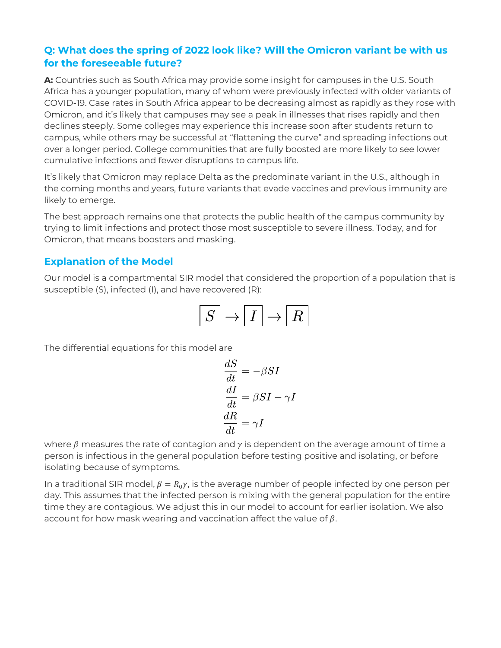# **Q: What does the spring of 2022 look like? Will the Omicron variant be with us for the foreseeable future?**

**A:** Countries such as South Africa may provide some insight for campuses in the U.S. South Africa has a younger population, many of whom were previously infected with older variants of COVID-19. Case rates in South Africa appear to be decreasing almost as rapidly as they rose with Omicron, and it's likely that campuses may see a peak in illnesses that rises rapidly and then declines steeply. Some colleges may experience this increase soon after students return to campus, while others may be successful at "flattening the curve" and spreading infections out over a longer period. College communities that are fully boosted are more likely to see lower cumulative infections and fewer disruptions to campus life.

It's likely that Omicron may replace Delta as the predominate variant in the U.S., although in the coming months and years, future variants that evade vaccines and previous immunity are likely to emerge.

The best approach remains one that protects the public health of the campus community by trying to limit infections and protect those most susceptible to severe illness. Today, and for Omicron, that means boosters and masking.

### **Explanation of the Model**

Our model is a compartmental SIR model that considered the proportion of a population that is susceptible (S), infected (I), and have recovered (R):

$$
\boxed{S} \to \boxed{I} \to \boxed{R}
$$

The differential equations for this model are

$$
\begin{aligned}\n\frac{dS}{dt} &= -\beta SI \\
\frac{dI}{dt} &= \beta SI - \gamma I \\
\frac{dR}{dt} &= \gamma I\n\end{aligned}
$$

where  $\beta$  measures the rate of contagion and  $\gamma$  is dependent on the average amount of time a person is infectious in the general population before testing positive and isolating, or before isolating because of symptoms.

In a traditional SIR model,  $\beta = R_0 \gamma$ , is the average number of people infected by one person per day. This assumes that the infected person is mixing with the general population for the entire time they are contagious. We adjust this in our model to account for earlier isolation. We also account for how mask wearing and vaccination affect the value of  $\beta$ .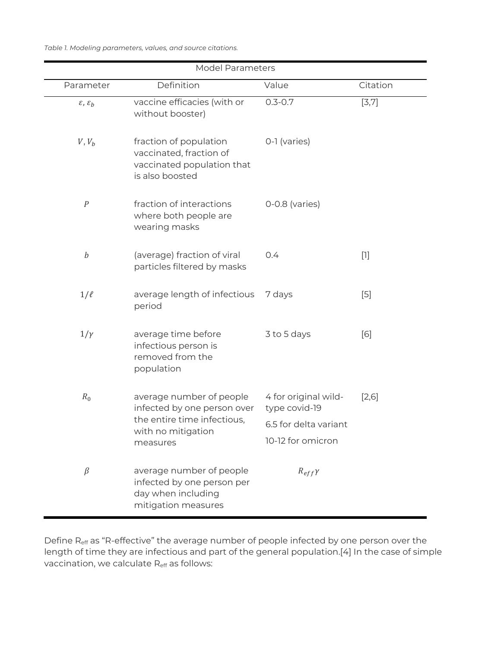*Table 1. Modeling parameters, values, and source citations.*

| <b>Model Parameters</b>         |                                                                                                     |                                            |          |  |  |  |  |  |
|---------------------------------|-----------------------------------------------------------------------------------------------------|--------------------------------------------|----------|--|--|--|--|--|
| Parameter                       | Definition                                                                                          | Value                                      | Citation |  |  |  |  |  |
| $\varepsilon$ , $\varepsilon_b$ | vaccine efficacies (with or<br>without booster)                                                     | $0.3 - 0.7$                                | [3,7]    |  |  |  |  |  |
| $V, V_b$                        | fraction of population<br>vaccinated, fraction of<br>vaccinated population that<br>is also boosted  | 0-1 (varies)                               |          |  |  |  |  |  |
| $\cal P$                        | fraction of interactions<br>where both people are<br>wearing masks                                  | $0-0.8$ (varies)                           |          |  |  |  |  |  |
| $\boldsymbol{b}$                | (average) fraction of viral<br>particles filtered by masks                                          | 0.4                                        | $[1]$    |  |  |  |  |  |
| $1/\ell$                        | average length of infectious<br>period                                                              | 7 days                                     | $[5]$    |  |  |  |  |  |
| $1/\gamma$                      | average time before<br>infectious person is<br>removed from the<br>population                       | 3 to 5 days                                | [6]      |  |  |  |  |  |
| $R_0$                           | average number of people<br>infected by one person over<br>the entire time infectious,              | 4 for original wild-<br>type covid-19      | $[2,6]$  |  |  |  |  |  |
|                                 | with no mitigation<br>measures                                                                      | 6.5 for delta variant<br>10-12 for omicron |          |  |  |  |  |  |
| $\beta$                         | average number of people<br>infected by one person per<br>day when including<br>mitigation measures | $R_{eff}\gamma$                            |          |  |  |  |  |  |

Define R<sub>eff</sub> as "R-effective" the average number of people infected by one person over the length of time they are infectious and part of the general population.[4] In the case of simple vaccination, we calculate Reff as follows: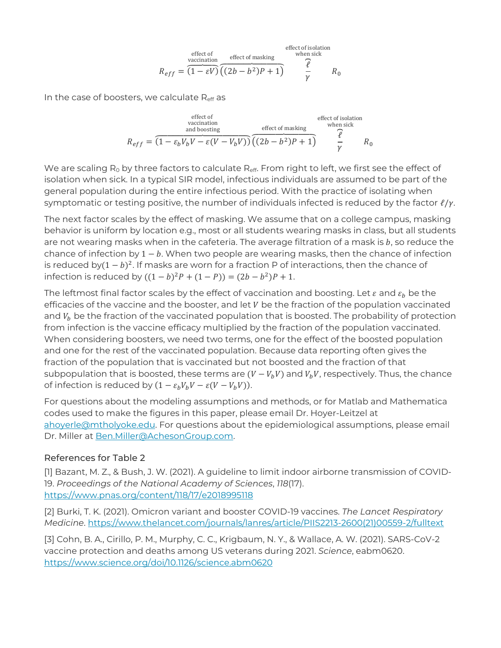$$
R_{eff} = \overbrace{(1 - \varepsilon V)}^{\text{effect of}} \overbrace{(2b - b^2)P + 1}^{\text{effect of masking}} \overbrace{V}^{\text{effect of isolation}}
$$

In the case of boosters, we calculate  $R_{\text{eff}}$  as

$$
R_{eff} = \overbrace{(1 - \varepsilon_b V_b V - \varepsilon (V - V_b V))}^{\text{effect of}} \overbrace{(2b - b^2)P + 1}^{\text{effect of masking}} \overbrace{V}^{\text{effect of isolation}}_{\gamma}
$$
\n
$$
R_{eff} = \overbrace{(1 - \varepsilon_b V_b V - \varepsilon (V - V_b V))}^{\text{effect of making}} \overbrace{(2b - b^2)P + 1}^{\text{effect of isolation}} \overbrace{V}^{\text{other side}}
$$

We are scaling  $R_0$  by three factors to calculate  $R_{\text{eff}}$ . From right to left, we first see the effect of isolation when sick. In a typical SIR model, infectious individuals are assumed to be part of the general population during the entire infectious period. With the practice of isolating when symptomatic or testing positive, the number of individuals infected is reduced by the factor  $\ell/\gamma$ .

The next factor scales by the effect of masking. We assume that on a college campus, masking behavior is uniform by location e.g., most or all students wearing masks in class, but all students are not wearing masks when in the cafeteria. The average filtration of a mask is  $b$ , so reduce the chance of infection by  $1 - b$ . When two people are wearing masks, then the chance of infection is reduced by $(1 - b)^2$ . If masks are worn for a fraction P of interactions, then the chance of infection is reduced by  $((1 - b)^2 P + (1 - P)) = (2b - b^2)P + 1$ .

The leftmost final factor scales by the effect of vaccination and boosting. Let  $\varepsilon$  and  $\varepsilon_h$  be the efficacies of the vaccine and the booster, and let  $V$  be the fraction of the population vaccinated and  $V_b$  be the fraction of the vaccinated population that is boosted. The probability of protection from infection is the vaccine efficacy multiplied by the fraction of the population vaccinated. When considering boosters, we need two terms, one for the effect of the boosted population and one for the rest of the vaccinated population. Because data reporting often gives the fraction of the population that is vaccinated but not boosted and the fraction of that subpopulation that is boosted, these terms are  $(V - V_h V)$  and  $V_h V$ , respectively. Thus, the chance of infection is reduced by  $(1 - \varepsilon_b V_b V - \varepsilon (V - V_b V))$ .

For questions about the modeling assumptions and methods, or for Matlab and Mathematica codes used to make the figures in this paper, please email Dr. Hoyer-Leitzel at [ahoyerle@mtholyoke.edu.](mailto:ahoyerle@mtholyoke.edu) For questions about the epidemiological assumptions, please email Dr. Miller at [Ben.Miller@AchesonGroup.com.](mailto:Ben.Miller@AchesonGroup.com)

#### References for Table 2

[1] Bazant, M. Z., & Bush, J. W. (2021). A guideline to limit indoor airborne transmission of COVID-19. *Proceedings of the National Academy of Sciences*, *118*(17). <https://www.pnas.org/content/118/17/e2018995118>

[2] Burki, T. K. (2021). Omicron variant and booster COVID-19 vaccines. *The Lancet Respiratory Medicine*. [https://www.thelancet.com/journals/lanres/article/PIIS2213-2600\(21\)00559-2/fulltext](https://www.thelancet.com/journals/lanres/article/PIIS2213-2600(21)00559-2/fulltext)

[3] Cohn, B. A., Cirillo, P. M., Murphy, C. C., Krigbaum, N. Y., & Wallace, A. W. (2021). SARS-CoV-2 vaccine protection and deaths among US veterans during 2021. *Science*, eabm0620. <https://www.science.org/doi/10.1126/science.abm0620>